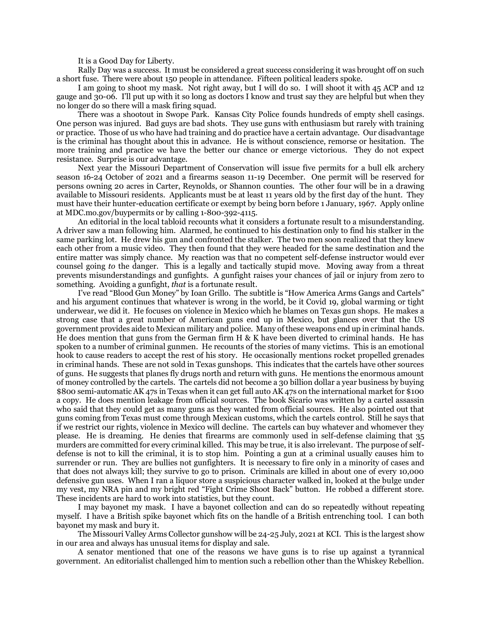It is a Good Day for Liberty.

Rally Day was a success. It must be considered a great success considering it was brought off on such a short fuse. There were about 150 people in attendance. Fifteen political leaders spoke.

I am going to shoot my mask. Not right away, but I will do so. I will shoot it with 45 ACP and 12 gauge and 30-06. I'll put up with it so long as doctors I know and trust say they are helpful but when they no longer do so there will a mask firing squad.

There was a shootout in Swope Park. Kansas City Police founds hundreds of empty shell casings. One person was injured. Bad guys are bad shots. They use guns with enthusiasm but rarely with training or practice. Those of us who have had training and do practice have a certain advantage. Our disadvantage is the criminal has thought about this in advance. He is without conscience, remorse or hesitation. The more training and practice we have the better our chance or emerge victorious. They do not expect resistance. Surprise is our advantage.

Next year the Missouri Department of Conservation will issue five permits for a bull elk archery season 16-24 October of 2021 and a firearms season 11-19 December. One permit will be reserved for persons owning 20 acres in Carter, Reynolds, or Shannon counties. The other four will be in a drawing available to Missouri residents. Applicants must be at least 11 years old by the first day of the hunt. They must have their hunter-education certificate or exempt by being born before 1 January, 1967. Apply online at MDC.mo.gov/buypermits or by calling 1-800-392-4115.

An editorial in the local tabloid recounts what it considers a fortunate result to a misunderstanding. A driver saw a man following him. Alarmed, he continued to his destination only to find his stalker in the same parking lot. He drew his gun and confronted the stalker. The two men soon realized that they knew each other from a music video. They then found that they were headed for the same destination and the entire matter was simply chance. My reaction was that no competent self-defense instructor would ever counsel going *to* the danger. This is a legally and tactically stupid move. Moving away from a threat prevents misunderstandings and gunfights. A gunfight raises your chances of jail or injury from zero to something. Avoiding a gunfight, *that* is a fortunate result.

I've read "Blood Gun Money" by Ioan Grillo. The subtitle is "How America Arms Gangs and Cartels" and his argument continues that whatever is wrong in the world, be it Covid 19, global warming or tight underwear, we did it. He focuses on violence in Mexico which he blames on Texas gun shops. He makes a strong case that a great number of American guns end up in Mexico, but glances over that the US government provides aide to Mexican military and police. Many of these weapons end up in criminal hands. He does mention that guns from the German firm H & K have been diverted to criminal hands. He has spoken to a number of criminal gunmen. He recounts of the stories of many victims. This is an emotional hook to cause readers to accept the rest of his story. He occasionally mentions rocket propelled grenades in criminal hands. These are not sold in Texas gunshops. This indicates that the cartels have other sources of guns. He suggests that planes fly drugs north and return with guns. He mentions the enormous amount of money controlled by the cartels. The cartels did not become a 30 billion dollar a year business by buying \$800 semi-automatic AK 47s in Texas when it can get full auto AK 47s on the international market for \$100 a copy. He does mention leakage from official sources. The book Sicario was written by a cartel assassin who said that they could get as many guns as they wanted from official sources. He also pointed out that guns coming from Texas must come through Mexican customs, which the cartels control. Still he says that if we restrict our rights, violence in Mexico will decline. The cartels can buy whatever and whomever they please. He is dreaming. He denies that firearms are commonly used in self-defense claiming that 35 murders are committed for every criminal killed. This may be true, it is also irrelevant. The purpose of selfdefense is not to kill the criminal, it is to stop him. Pointing a gun at a criminal usually causes him to surrender or run. They are bullies not gunfighters. It is necessary to fire only in a minority of cases and that does not always kill; they survive to go to prison. Criminals are killed in about one of every 10,000 defensive gun uses. When I ran a liquor store a suspicious character walked in, looked at the bulge under my vest, my NRA pin and my bright red "Fight Crime Shoot Back" button. He robbed a different store. These incidents are hard to work into statistics, but they count.

I may bayonet my mask. I have a bayonet collection and can do so repeatedly without repeating myself. I have a British spike bayonet which fits on the handle of a British entrenching tool. I can both bayonet my mask and bury it.

The Missouri Valley Arms Collector gunshow will be 24-25 July, 2021 at KCI. This is the largest show in our area and always has unusual items for display and sale.

A senator mentioned that one of the reasons we have guns is to rise up against a tyrannical government. An editorialist challenged him to mention such a rebellion other than the Whiskey Rebellion.